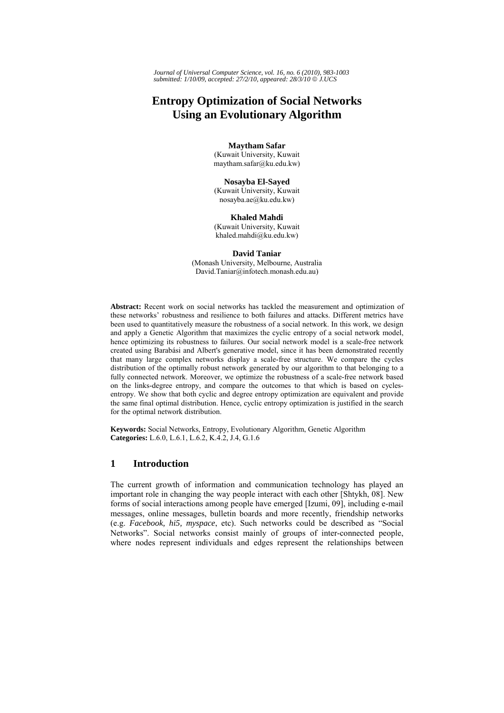*Journal of Universal Computer Science, vol. 16, no. 6 (2010), 983-1003 submitted: 1/10/09, accepted: 27/2/10, appeared: 28/3/10* © *J.UCS*

# **Entropy Optimization of Social Networks Using an Evolutionary Algorithm**

### **Maytham Safar**

(Kuwait University, Kuwait maytham.safar@ku.edu.kw)

#### **Nosayba El-Sayed**

(Kuwait University, Kuwait nosayba.ae@ku.edu.kw)

### **Khaled Mahdi**

(Kuwait University, Kuwait khaled.mahdi@ku.edu.kw)

#### **David Taniar**  (Monash University, Melbourne, Australia

David.Taniar@infotech.monash.edu.au)

**Abstract:** Recent work on social networks has tackled the measurement and optimization of these networks' robustness and resilience to both failures and attacks. Different metrics have been used to quantitatively measure the robustness of a social network. In this work, we design and apply a Genetic Algorithm that maximizes the cyclic entropy of a social network model, hence optimizing its robustness to failures. Our social network model is a scale-free network created using Barabási and Albert's generative model, since it has been demonstrated recently that many large complex networks display a scale-free structure. We compare the cycles distribution of the optimally robust network generated by our algorithm to that belonging to a fully connected network. Moreover, we optimize the robustness of a scale-free network based on the links-degree entropy, and compare the outcomes to that which is based on cyclesentropy. We show that both cyclic and degree entropy optimization are equivalent and provide the same final optimal distribution. Hence, cyclic entropy optimization is justified in the search for the optimal network distribution.

**Keywords:** Social Networks, Entropy, Evolutionary Algorithm, Genetic Algorithm **Categories:** L.6.0, L.6.1, L.6.2, K.4.2, J.4, G.1.6

# **1 Introduction**

The current growth of information and communication technology has played an important role in changing the way people interact with each other [Shtykh, 08]. New forms of social interactions among people have emerged [Izumi, 09], including e-mail messages, online messages, bulletin boards and more recently, friendship networks (e.g. *Facebook, hi5, myspace*, etc). Such networks could be described as "Social Networks". Social networks consist mainly of groups of inter-connected people, where nodes represent individuals and edges represent the relationships between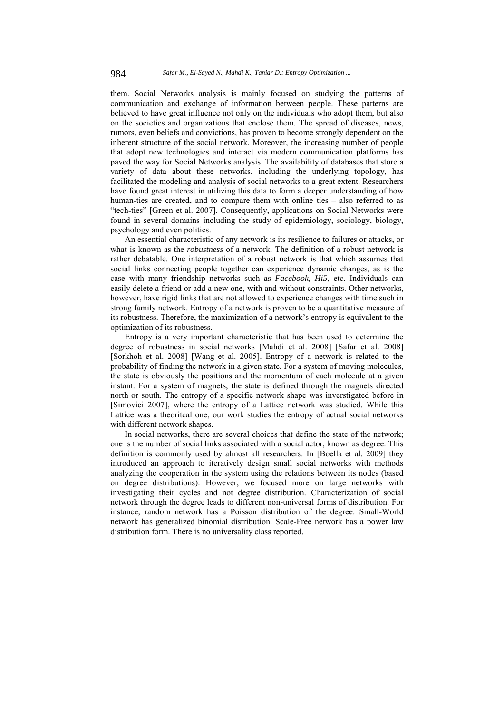them. Social Networks analysis is mainly focused on studying the patterns of communication and exchange of information between people. These patterns are believed to have great influence not only on the individuals who adopt them, but also on the societies and organizations that enclose them. The spread of diseases, news, rumors, even beliefs and convictions, has proven to become strongly dependent on the inherent structure of the social network. Moreover, the increasing number of people that adopt new technologies and interact via modern communication platforms has paved the way for Social Networks analysis. The availability of databases that store a variety of data about these networks, including the underlying topology, has facilitated the modeling and analysis of social networks to a great extent. Researchers have found great interest in utilizing this data to form a deeper understanding of how human-ties are created, and to compare them with online ties – also referred to as "tech-ties" [Green et al. 2007]. Consequently, applications on Social Networks were found in several domains including the study of epidemiology, sociology, biology, psychology and even politics.

An essential characteristic of any network is its resilience to failures or attacks, or what is known as the *robustness* of a network. The definition of a robust network is rather debatable. One interpretation of a robust network is that which assumes that social links connecting people together can experience dynamic changes, as is the case with many friendship networks such as *Facebook, Hi5*, etc. Individuals can easily delete a friend or add a new one, with and without constraints. Other networks, however, have rigid links that are not allowed to experience changes with time such in strong family network. Entropy of a network is proven to be a quantitative measure of its robustness. Therefore, the maximization of a network's entropy is equivalent to the optimization of its robustness.

Entropy is a very important characteristic that has been used to determine the degree of robustness in social networks [Mahdi et al. 2008] [Safar et al. 2008] [Sorkhoh et al. 2008] [Wang et al. 2005]. Entropy of a network is related to the probability of finding the network in a given state. For a system of moving molecules, the state is obviously the positions and the momentum of each molecule at a given instant. For a system of magnets, the state is defined through the magnets directed north or south. The entropy of a specific network shape was inverstigated before in [Simovici 2007], where the entropy of a Lattice network was studied. While this Lattice was a theoritcal one, our work studies the entropy of actual social networks with different network shapes.

In social networks, there are several choices that define the state of the network; one is the number of social links associated with a social actor, known as degree. This definition is commonly used by almost all researchers. In [Boella et al. 2009] they introduced an approach to iteratively design small social networks with methods analyzing the cooperation in the system using the relations between its nodes (based on degree distributions). However, we focused more on large networks with investigating their cycles and not degree distribution. Characterization of social network through the degree leads to different non-universal forms of distribution. For instance, random network has a Poisson distribution of the degree. Small-World network has generalized binomial distribution. Scale-Free network has a power law distribution form. There is no universality class reported.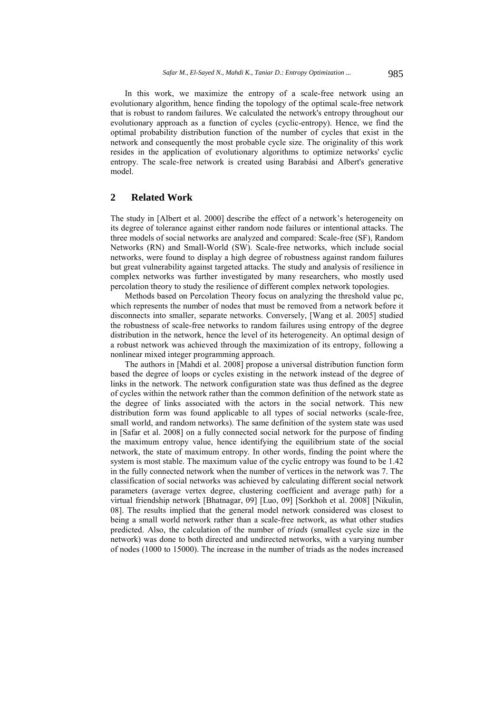In this work, we maximize the entropy of a scale-free network using an evolutionary algorithm, hence finding the topology of the optimal scale-free network that is robust to random failures. We calculated the network's entropy throughout our evolutionary approach as a function of cycles (cyclic-entropy). Hence, we find the optimal probability distribution function of the number of cycles that exist in the network and consequently the most probable cycle size. The originality of this work resides in the application of evolutionary algorithms to optimize networks' cyclic entropy. The scale-free network is created using Barabási and Albert's generative model.

### **2 Related Work**

The study in [Albert et al. 2000] describe the effect of a network's heterogeneity on its degree of tolerance against either random node failures or intentional attacks. The three models of social networks are analyzed and compared: Scale-free (SF), Random Networks (RN) and Small-World (SW). Scale-free networks, which include social networks, were found to display a high degree of robustness against random failures but great vulnerability against targeted attacks. The study and analysis of resilience in complex networks was further investigated by many researchers, who mostly used percolation theory to study the resilience of different complex network topologies.

Methods based on Percolation Theory focus on analyzing the threshold value pc, which represents the number of nodes that must be removed from a network before it disconnects into smaller, separate networks. Conversely, [Wang et al. 2005] studied the robustness of scale-free networks to random failures using entropy of the degree distribution in the network, hence the level of its heterogeneity. An optimal design of a robust network was achieved through the maximization of its entropy, following a nonlinear mixed integer programming approach.

The authors in [Mahdi et al. 2008] propose a universal distribution function form based the degree of loops or cycles existing in the network instead of the degree of links in the network. The network configuration state was thus defined as the degree of cycles within the network rather than the common definition of the network state as the degree of links associated with the actors in the social network. This new distribution form was found applicable to all types of social networks (scale-free, small world, and random networks). The same definition of the system state was used in [Safar et al. 2008] on a fully connected social network for the purpose of finding the maximum entropy value, hence identifying the equilibrium state of the social network, the state of maximum entropy. In other words, finding the point where the system is most stable. The maximum value of the cyclic entropy was found to be 1.42 in the fully connected network when the number of vertices in the network was 7. The classification of social networks was achieved by calculating different social network parameters (average vertex degree, clustering coefficient and average path) for a virtual friendship network [Bhatnagar, 09] [Luo, 09] [Sorkhoh et al. 2008] [Nikulin, 08]. The results implied that the general model network considered was closest to being a small world network rather than a scale-free network, as what other studies predicted. Also, the calculation of the number of *triads* (smallest cycle size in the network) was done to both directed and undirected networks, with a varying number of nodes (1000 to 15000). The increase in the number of triads as the nodes increased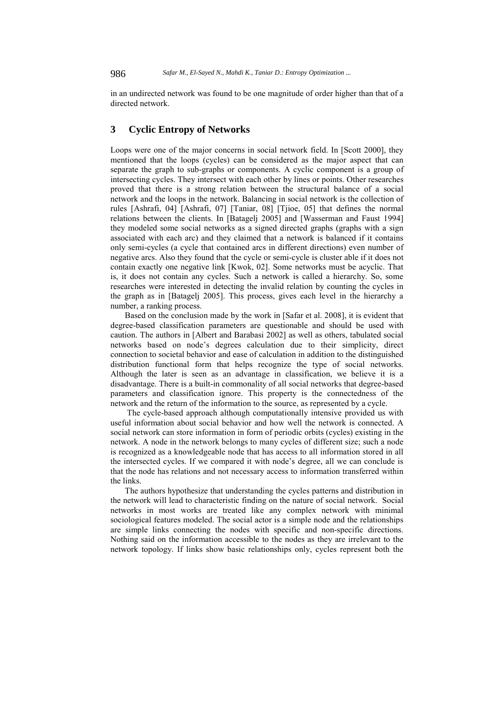in an undirected network was found to be one magnitude of order higher than that of a directed network.

# **3 Cyclic Entropy of Networks**

Loops were one of the major concerns in social network field. In [Scott 2000], they mentioned that the loops (cycles) can be considered as the major aspect that can separate the graph to sub-graphs or components. A cyclic component is a group of intersecting cycles. They intersect with each other by lines or points. Other researches proved that there is a strong relation between the structural balance of a social network and the loops in the network. Balancing in social network is the collection of rules [Ashrafi, 04] [Ashrafi, 07] [Taniar, 08] [Tjioe, 05] that defines the normal relations between the clients. In [Batagelj 2005] and [Wasserman and Faust 1994] they modeled some social networks as a signed directed graphs (graphs with a sign associated with each arc) and they claimed that a network is balanced if it contains only semi-cycles (a cycle that contained arcs in different directions) even number of negative arcs. Also they found that the cycle or semi-cycle is cluster able if it does not contain exactly one negative link [Kwok, 02]. Some networks must be acyclic. That is, it does not contain any cycles. Such a network is called a hierarchy. So, some researches were interested in detecting the invalid relation by counting the cycles in the graph as in [Batagelj 2005]. This process, gives each level in the hierarchy a number, a ranking process.

Based on the conclusion made by the work in [Safar et al. 2008], it is evident that degree-based classification parameters are questionable and should be used with caution. The authors in [Albert and Barabasi 2002] as well as others, tabulated social networks based on node's degrees calculation due to their simplicity, direct connection to societal behavior and ease of calculation in addition to the distinguished distribution functional form that helps recognize the type of social networks. Although the later is seen as an advantage in classification, we believe it is a disadvantage. There is a built-in commonality of all social networks that degree-based parameters and classification ignore. This property is the connectedness of the network and the return of the information to the source, as represented by a cycle.

 The cycle-based approach although computationally intensive provided us with useful information about social behavior and how well the network is connected. A social network can store information in form of periodic orbits (cycles) existing in the network. A node in the network belongs to many cycles of different size; such a node is recognized as a knowledgeable node that has access to all information stored in all the intersected cycles. If we compared it with node's degree, all we can conclude is that the node has relations and not necessary access to information transferred within the links.

The authors hypothesize that understanding the cycles patterns and distribution in the network will lead to characteristic finding on the nature of social network. Social networks in most works are treated like any complex network with minimal sociological features modeled. The social actor is a simple node and the relationships are simple links connecting the nodes with specific and non-specific directions. Nothing said on the information accessible to the nodes as they are irrelevant to the network topology. If links show basic relationships only, cycles represent both the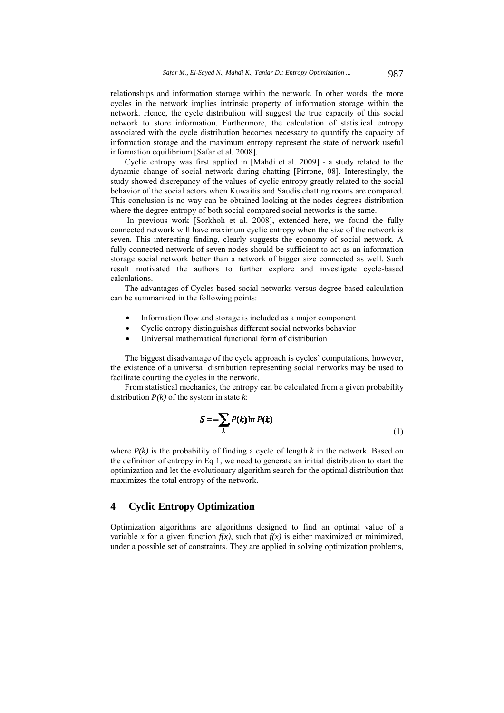relationships and information storage within the network. In other words, the more cycles in the network implies intrinsic property of information storage within the network. Hence, the cycle distribution will suggest the true capacity of this social network to store information. Furthermore, the calculation of statistical entropy associated with the cycle distribution becomes necessary to quantify the capacity of information storage and the maximum entropy represent the state of network useful information equilibrium [Safar et al. 2008].

Cyclic entropy was first applied in [Mahdi et al. 2009] - a study related to the dynamic change of social network during chatting [Pirrone, 08]. Interestingly, the study showed discrepancy of the values of cyclic entropy greatly related to the social behavior of the social actors when Kuwaitis and Saudis chatting rooms are compared. This conclusion is no way can be obtained looking at the nodes degrees distribution where the degree entropy of both social compared social networks is the same.

 In previous work [Sorkhoh et al. 2008], extended here, we found the fully connected network will have maximum cyclic entropy when the size of the network is seven. This interesting finding, clearly suggests the economy of social network. A fully connected network of seven nodes should be sufficient to act as an information storage social network better than a network of bigger size connected as well. Such result motivated the authors to further explore and investigate cycle-based calculations.

The advantages of Cycles-based social networks versus degree-based calculation can be summarized in the following points:

- Information flow and storage is included as a major component
- Cyclic entropy distinguishes different social networks behavior
- Universal mathematical functional form of distribution

The biggest disadvantage of the cycle approach is cycles' computations, however, the existence of a universal distribution representing social networks may be used to facilitate courting the cycles in the network.

From statistical mechanics, the entropy can be calculated from a given probability distribution *P(k)* of the system in state *k*:

$$
S = -\sum_{k} P(k) \ln P(k) \tag{1}
$$

where  $P(k)$  is the probability of finding a cycle of length k in the network. Based on the definition of entropy in Eq 1, we need to generate an initial distribution to start the optimization and let the evolutionary algorithm search for the optimal distribution that maximizes the total entropy of the network.

### **4 Cyclic Entropy Optimization**

Optimization algorithms are algorithms designed to find an optimal value of a variable *x* for a given function  $f(x)$ , such that  $f(x)$  is either maximized or minimized, under a possible set of constraints. They are applied in solving optimization problems,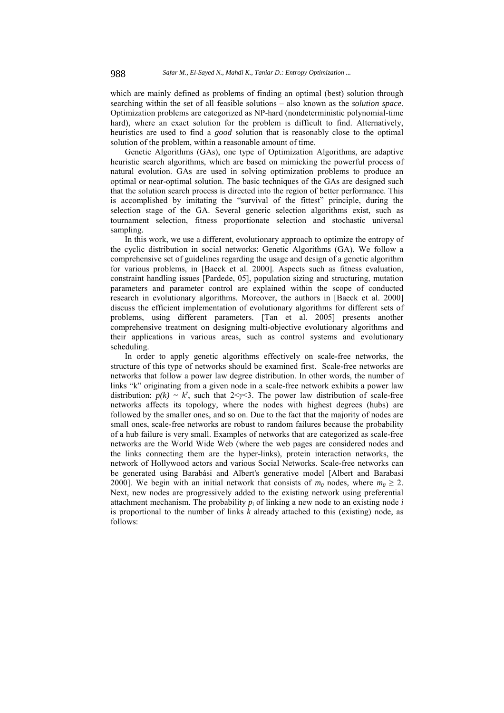which are mainly defined as problems of finding an optimal (best) solution through searching within the set of all feasible solutions – also known as the *solution space*. Optimization problems are categorized as NP-hard (nondeterministic polynomial-time hard), where an exact solution for the problem is difficult to find. Alternatively, heuristics are used to find a *good* solution that is reasonably close to the optimal solution of the problem, within a reasonable amount of time.

Genetic Algorithms (GAs), one type of Optimization Algorithms, are adaptive heuristic search algorithms, which are based on mimicking the powerful process of natural evolution. GAs are used in solving optimization problems to produce an optimal or near-optimal solution. The basic techniques of the GAs are designed such that the solution search process is directed into the region of better performance. This is accomplished by imitating the "survival of the fittest" principle, during the selection stage of the GA. Several generic selection algorithms exist, such as tournament selection, fitness proportionate selection and stochastic universal sampling.

In this work, we use a different, evolutionary approach to optimize the entropy of the cyclic distribution in social networks: Genetic Algorithms (GA). We follow a comprehensive set of guidelines regarding the usage and design of a genetic algorithm for various problems, in [Baeck et al. 2000]. Aspects such as fitness evaluation, constraint handling issues [Pardede, 05], population sizing and structuring, mutation parameters and parameter control are explained within the scope of conducted research in evolutionary algorithms. Moreover, the authors in [Baeck et al. 2000] discuss the efficient implementation of evolutionary algorithms for different sets of problems, using different parameters. [Tan et al. 2005] presents another comprehensive treatment on designing multi-objective evolutionary algorithms and their applications in various areas, such as control systems and evolutionary scheduling.

In order to apply genetic algorithms effectively on scale-free networks, the structure of this type of networks should be examined first. Scale-free networks are networks that follow a power law degree distribution. In other words, the number of links "k" originating from a given node in a scale-free network exhibits a power law distribution:  $p(k) \sim k^{\gamma}$ , such that  $2 \leq \gamma \leq 3$ . The power law distribution of scale-free networks affects its topology, where the nodes with highest degrees (hubs) are followed by the smaller ones, and so on. Due to the fact that the majority of nodes are small ones, scale-free networks are robust to random failures because the probability of a hub failure is very small. Examples of networks that are categorized as scale-free networks are the World Wide Web (where the web pages are considered nodes and the links connecting them are the hyper-links), protein interaction networks, the network of Hollywood actors and various Social Networks. Scale-free networks can be generated using Barabási and Albert's generative model [Albert and Barabasi 2000]. We begin with an initial network that consists of  $m_0$  nodes, where  $m_0 \geq 2$ . Next, new nodes are progressively added to the existing network using preferential attachment mechanism. The probability  $p_i$  of linking a new node to an existing node  $i$ is proportional to the number of links *k* already attached to this (existing) node, as follows: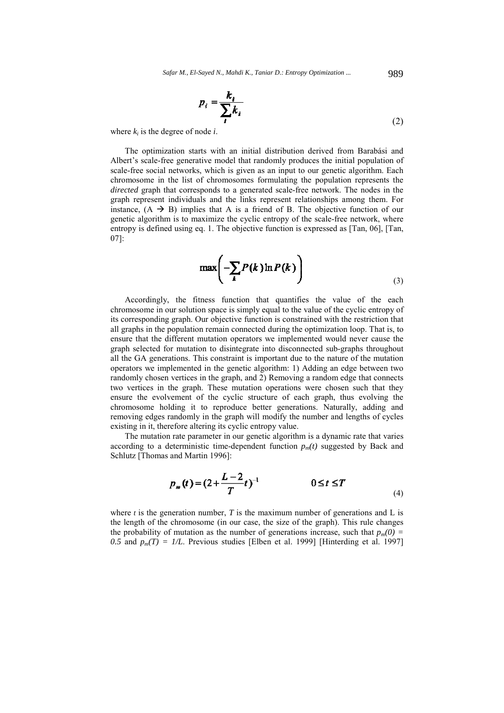*Safar M., El-Sayed N., Mahdi K., Taniar D.: Entropy Optimization ...* 989

$$
p_i = \frac{k_i}{\sum_i k_i} \tag{2}
$$

where  $k_i$  is the degree of node  $i$ .

The optimization starts with an initial distribution derived from Barabási and Albert's scale-free generative model that randomly produces the initial population of scale-free social networks, which is given as an input to our genetic algorithm. Each chromosome in the list of chromosomes formulating the population represents the *directed* graph that corresponds to a generated scale-free network. The nodes in the graph represent individuals and the links represent relationships among them. For instance,  $(A \rightarrow B)$  implies that A is a friend of B. The objective function of our genetic algorithm is to maximize the cyclic entropy of the scale-free network, where entropy is defined using eq. 1. The objective function is expressed as [Tan, 06], [Tan, 07]:

$$
\max\left(-\sum_{k} P(k)\ln P(k)\right) \tag{3}
$$

Accordingly, the fitness function that quantifies the value of the each chromosome in our solution space is simply equal to the value of the cyclic entropy of its corresponding graph. Our objective function is constrained with the restriction that all graphs in the population remain connected during the optimization loop. That is, to ensure that the different mutation operators we implemented would never cause the graph selected for mutation to disintegrate into disconnected sub-graphs throughout all the GA generations. This constraint is important due to the nature of the mutation operators we implemented in the genetic algorithm: 1) Adding an edge between two randomly chosen vertices in the graph, and 2) Removing a random edge that connects two vertices in the graph. These mutation operations were chosen such that they ensure the evolvement of the cyclic structure of each graph, thus evolving the chromosome holding it to reproduce better generations. Naturally, adding and removing edges randomly in the graph will modify the number and lengths of cycles existing in it, therefore altering its cyclic entropy value.

The mutation rate parameter in our genetic algorithm is a dynamic rate that varies according to a deterministic time-dependent function  $p_m(t)$  suggested by Back and Schlutz [Thomas and Martin 1996]:

$$
p_m(t) = (2 + \frac{L-2}{T}t)^{-1} \qquad \qquad 0 \le t \le T \tag{4}
$$

where  $t$  is the generation number,  $T$  is the maximum number of generations and L is the length of the chromosome (in our case, the size of the graph). This rule changes the probability of mutation as the number of generations increase, such that  $p_m(0)$  = *0.5* and  $p_m(T) = 1/L$ . Previous studies [Elben et al. 1999] [Hinterding et al. 1997]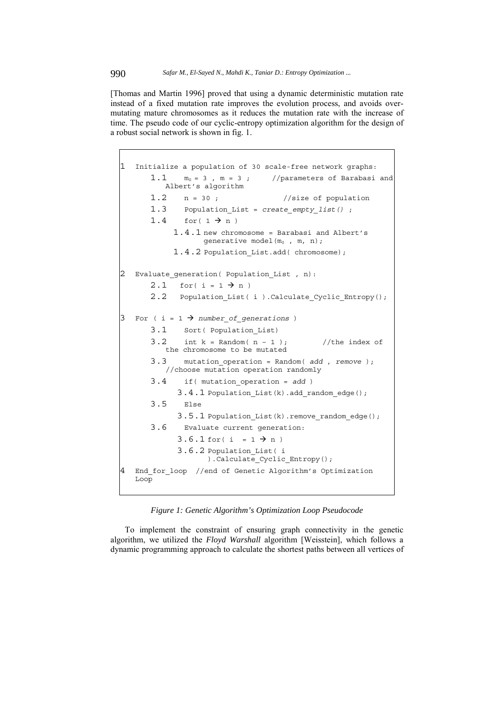[Thomas and Martin 1996] proved that using a dynamic deterministic mutation rate instead of a fixed mutation rate improves the evolution process, and avoids overmutating mature chromosomes as it reduces the mutation rate with the increase of time. The pseudo code of our cyclic-entropy optimization algorithm for the design of a robust social network is shown in fig. 1.

```
1 Initialize a population of 30 scale-free network graphs: 
      1.1 m_0 = 3, m = 3; //parameters of Barabasi and
          Albert's algorithm 
      1.2 n = 30; //size of population1.3 Population_List = create_empty_list() ; 
      1.4 for(1 \rightarrow n)1.4.1 new chromosome = Barabasi and Albert's 
                  generative model(m<sub>0</sub>, m, n);
           1.4.2 Population List.add( chromosome);
  Evaluate generation( Population List, n):
      2.1 for( i = 1 \rightarrow n )
      2.2 Population List( i ).Calculate Cyclic Entropy();
3 For ( i = 1 \rightarrow number of generations )
      3.1 Sort( Population_List) 
      3.2 int k = Random(n - 1); //the index of
          the chromosome to be mutated 
      3.3 mutation_operation = Random( add , remove ); 
          //choose mutation operation randomly 
      3.4 if( mutation_operation = add ) 
            3.4.1 Population_List(k).add_random_edge(); 
      3.5 Else 
            3.5.1 Population List(k).remove_random_edge();
      3.6 Evaluate current generation: 
            3.6.1 for( i = 1 \div n )
            3.6.2 Population_List( i 
                   ).Calculate_Cyclic_Entropy(); 
   End for loop //end of Genetic Algorithm's Optimization
   Loop
```
*Figure 1: Genetic Algorithm's Optimization Loop Pseudocode* 

To implement the constraint of ensuring graph connectivity in the genetic algorithm, we utilized the *Floyd Warshall* algorithm [Weisstein], which follows a dynamic programming approach to calculate the shortest paths between all vertices of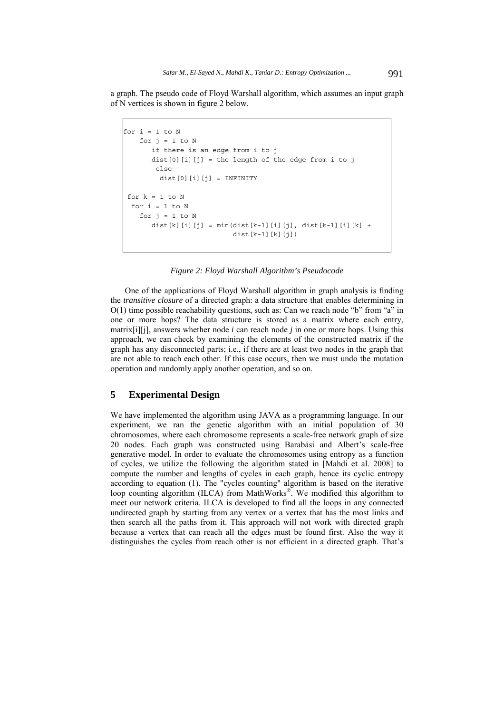a graph. The pseudo code of Floyd Warshall algorithm, which assumes an input graph of N vertices is shown in figure 2 below.

```
for i = 1 to Nfor j = 1 to N
       if there is an edge from i to j 
      dist[0][i][j] = the length of the edge from i to j else 
        dist[0][i][j] = INFINITEfor k = 1 to Nfor i = 1 to Nfor j = 1 to Ndist[k][i][j] = min(dist[k-1][i][j], dist[k-1][i][k] +
                           dist[k-1][k][j])
```
#### *Figure 2: Floyd Warshall Algorithm's Pseudocode*

One of the applications of Floyd Warshall algorithm in graph analysis is finding the *transitive closure* of a directed graph: a data structure that enables determining in  $O(1)$  time possible reachability questions, such as: Can we reach node "b" from "a" in one or more hops? The data structure is stored as a matrix where each entry, matrix[i][j], answers whether node *i* can reach node *j* in one or more hops. Using this approach, we can check by examining the elements of the constructed matrix if the graph has any disconnected parts; i.e., if there are at least two nodes in the graph that are not able to reach each other. If this case occurs, then we must undo the mutation operation and randomly apply another operation, and so on.

# **5 Experimental Design**

We have implemented the algorithm using JAVA as a programming language. In our experiment, we ran the genetic algorithm with an initial population of 30 chromosomes, where each chromosome represents a scale-free network graph of size 20 nodes. Each graph was constructed using Barabási and Albert's scale-free generative model. In order to evaluate the chromosomes using entropy as a function of cycles, we utilize the following the algorithm stated in [Mahdi et al. 2008] to compute the number and lengths of cycles in each graph, hence its cyclic entropy according to equation (1). The "cycles counting" algorithm is based on the iterative loop counting algorithm (ILCA) from MathWorks®. We modified this algorithm to meet our network criteria. ILCA is developed to find all the loops in any connected undirected graph by starting from any vertex or a vertex that has the most links and then search all the paths from it. This approach will not work with directed graph because a vertex that can reach all the edges must be found first. Also the way it distinguishes the cycles from reach other is not efficient in a directed graph. That's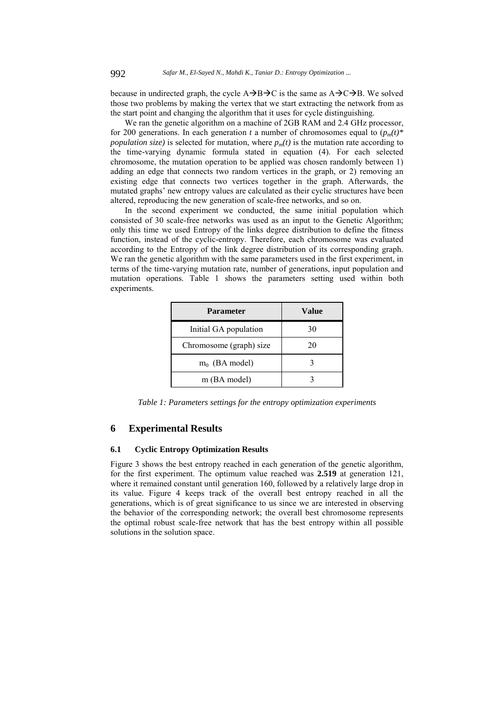because in undirected graph, the cycle  $A\rightarrow B\rightarrow C$  is the same as  $A\rightarrow C\rightarrow B$ . We solved those two problems by making the vertex that we start extracting the network from as the start point and changing the algorithm that it uses for cycle distinguishing.

We ran the genetic algorithm on a machine of 2GB RAM and 2.4 GHz processor, for 200 generations. In each generation *t* a number of chromosomes equal to  $(p_m(t))^*$ *population size*) is selected for mutation, where  $p_m(t)$  is the mutation rate according to the time-varying dynamic formula stated in equation (4). For each selected chromosome, the mutation operation to be applied was chosen randomly between 1) adding an edge that connects two random vertices in the graph, or 2) removing an existing edge that connects two vertices together in the graph. Afterwards, the mutated graphs' new entropy values are calculated as their cyclic structures have been altered, reproducing the new generation of scale-free networks, and so on.

In the second experiment we conducted, the same initial population which consisted of 30 scale-free networks was used as an input to the Genetic Algorithm; only this time we used Entropy of the links degree distribution to define the fitness function, instead of the cyclic-entropy. Therefore, each chromosome was evaluated according to the Entropy of the link degree distribution of its corresponding graph. We ran the genetic algorithm with the same parameters used in the first experiment, in terms of the time-varying mutation rate, number of generations, input population and mutation operations. Table 1 shows the parameters setting used within both experiments.

| <b>Parameter</b>        | Value |
|-------------------------|-------|
| Initial GA population   | 30    |
| Chromosome (graph) size | 20    |
| $m_0$ (BA model)        |       |
| m (BA model)            |       |

*Table 1: Parameters settings for the entropy optimization experiments* 

# **6 Experimental Results**

### **6.1 Cyclic Entropy Optimization Results**

Figure 3 shows the best entropy reached in each generation of the genetic algorithm, for the first experiment. The optimum value reached was **2.519** at generation 121, where it remained constant until generation 160, followed by a relatively large drop in its value. Figure 4 keeps track of the overall best entropy reached in all the generations, which is of great significance to us since we are interested in observing the behavior of the corresponding network; the overall best chromosome represents the optimal robust scale-free network that has the best entropy within all possible solutions in the solution space.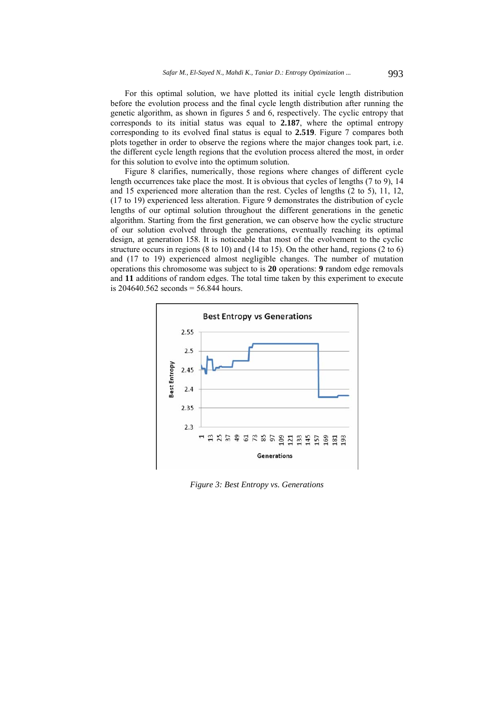For this optimal solution, we have plotted its initial cycle length distribution before the evolution process and the final cycle length distribution after running the genetic algorithm, as shown in figures 5 and 6, respectively. The cyclic entropy that corresponds to its initial status was equal to **2.187**, where the optimal entropy corresponding to its evolved final status is equal to **2.519**. Figure 7 compares both plots together in order to observe the regions where the major changes took part, i.e. the different cycle length regions that the evolution process altered the most, in order for this solution to evolve into the optimum solution.

Figure 8 clarifies, numerically, those regions where changes of different cycle length occurrences take place the most. It is obvious that cycles of lengths (7 to 9), 14 and 15 experienced more alteration than the rest. Cycles of lengths (2 to 5), 11, 12, (17 to 19) experienced less alteration. Figure 9 demonstrates the distribution of cycle lengths of our optimal solution throughout the different generations in the genetic algorithm. Starting from the first generation, we can observe how the cyclic structure of our solution evolved through the generations, eventually reaching its optimal design, at generation 158. It is noticeable that most of the evolvement to the cyclic structure occurs in regions  $(8 \text{ to } 10)$  and  $(14 \text{ to } 15)$ . On the other hand, regions  $(2 \text{ to } 6)$ and (17 to 19) experienced almost negligible changes. The number of mutation operations this chromosome was subject to is **20** operations: **9** random edge removals and **11** additions of random edges. The total time taken by this experiment to execute is  $204640.562$  seconds = 56.844 hours.



*Figure 3: Best Entropy vs. Generations*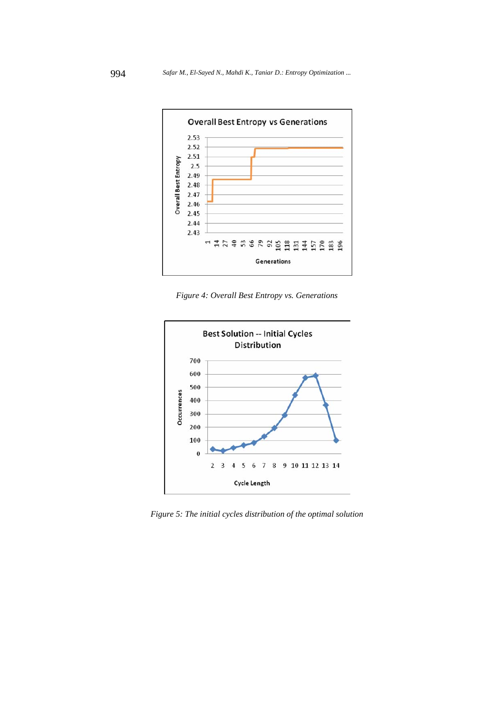

*Figure 4: Overall Best Entropy vs. Generations* 



*Figure 5: The initial cycles distribution of the optimal solution*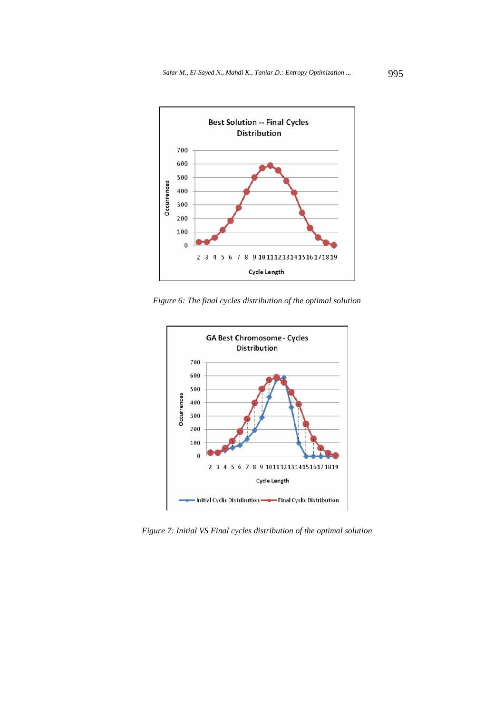

*Figure 6: The final cycles distribution of the optimal solution* 



*Figure 7: Initial VS Final cycles distribution of the optimal solution*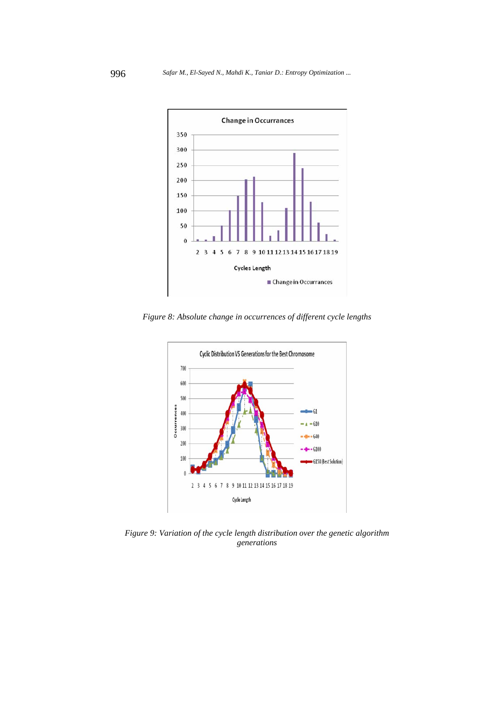

*Figure 8: Absolute change in occurrences of different cycle lengths* 



*Figure 9: Variation of the cycle length distribution over the genetic algorithm generations*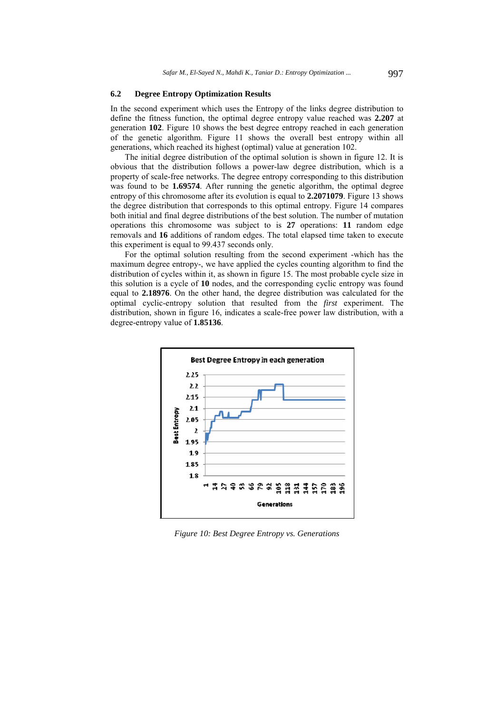### **6.2 Degree Entropy Optimization Results**

In the second experiment which uses the Entropy of the links degree distribution to define the fitness function, the optimal degree entropy value reached was **2.207** at generation **102**. Figure 10 shows the best degree entropy reached in each generation of the genetic algorithm. Figure 11 shows the overall best entropy within all generations, which reached its highest (optimal) value at generation 102.

The initial degree distribution of the optimal solution is shown in figure 12. It is obvious that the distribution follows a power-law degree distribution, which is a property of scale-free networks. The degree entropy corresponding to this distribution was found to be **1.69574**. After running the genetic algorithm, the optimal degree entropy of this chromosome after its evolution is equal to **2.2071079**. Figure 13 shows the degree distribution that corresponds to this optimal entropy. Figure 14 compares both initial and final degree distributions of the best solution. The number of mutation operations this chromosome was subject to is **27** operations: **11** random edge removals and **16** additions of random edges. The total elapsed time taken to execute this experiment is equal to 99.437 seconds only.

For the optimal solution resulting from the second experiment -which has the maximum degree entropy-, we have applied the cycles counting algorithm to find the distribution of cycles within it, as shown in figure 15. The most probable cycle size in this solution is a cycle of **10** nodes, and the corresponding cyclic entropy was found equal to **2.18976**. On the other hand, the degree distribution was calculated for the optimal cyclic-entropy solution that resulted from the *first* experiment. The distribution, shown in figure 16, indicates a scale-free power law distribution, with a degree-entropy value of **1.85136**.



*Figure 10: Best Degree Entropy vs. Generations*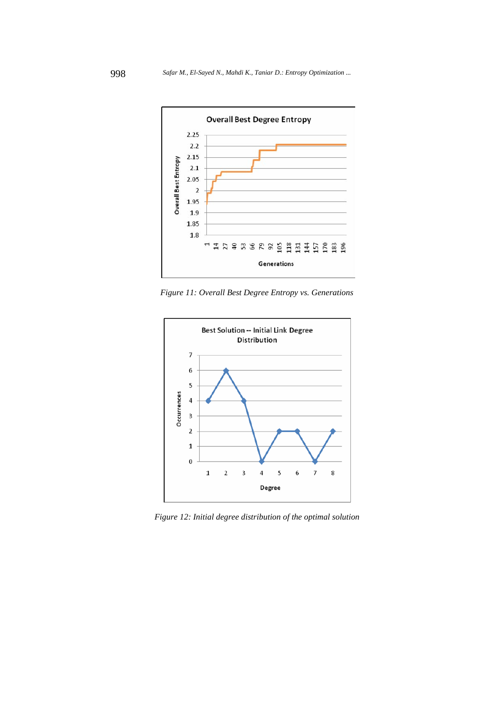

*Figure 11: Overall Best Degree Entropy vs. Generations* 



*Figure 12: Initial degree distribution of the optimal solution*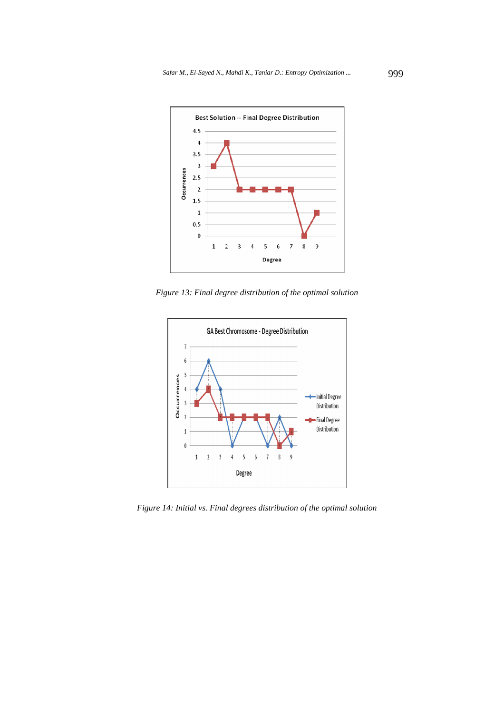

*Figure 13: Final degree distribution of the optimal solution* 



*Figure 14: Initial vs. Final degrees distribution of the optimal solution*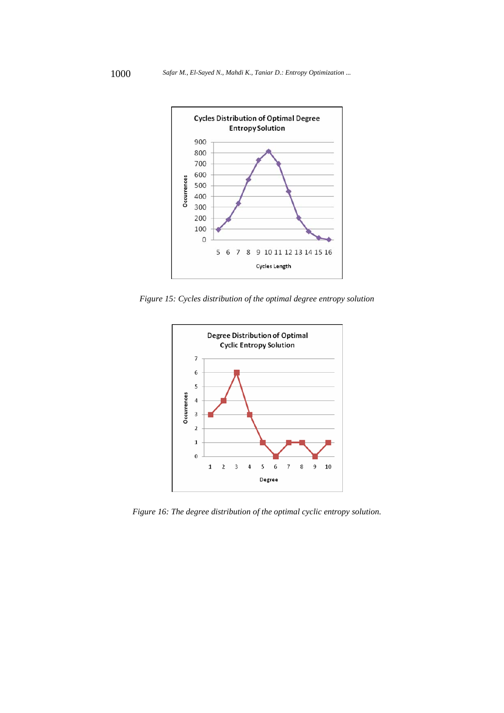

*Figure 15: Cycles distribution of the optimal degree entropy solution* 



*Figure 16: The degree distribution of the optimal cyclic entropy solution.*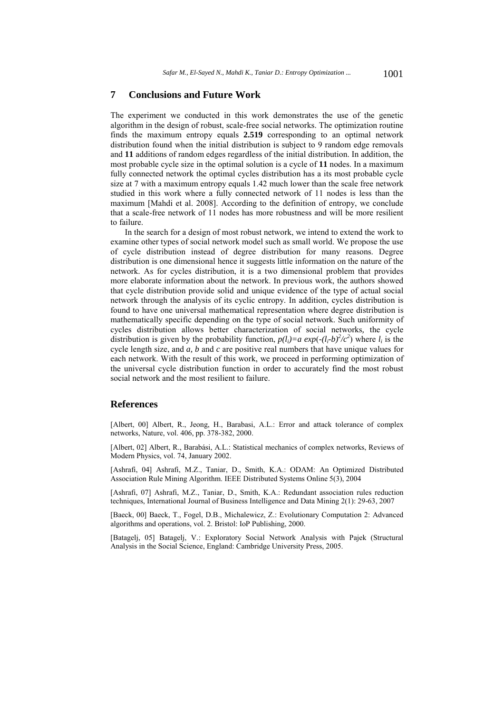# **7 Conclusions and Future Work**

The experiment we conducted in this work demonstrates the use of the genetic algorithm in the design of robust, scale-free social networks. The optimization routine finds the maximum entropy equals **2.519** corresponding to an optimal network distribution found when the initial distribution is subject to 9 random edge removals and **11** additions of random edges regardless of the initial distribution. In addition, the most probable cycle size in the optimal solution is a cycle of **11** nodes. In a maximum fully connected network the optimal cycles distribution has a its most probable cycle size at 7 with a maximum entropy equals 1.42 much lower than the scale free network studied in this work where a fully connected network of 11 nodes is less than the maximum [Mahdi et al. 2008]. According to the definition of entropy, we conclude that a scale-free network of 11 nodes has more robustness and will be more resilient to failure.

In the search for a design of most robust network, we intend to extend the work to examine other types of social network model such as small world. We propose the use of cycle distribution instead of degree distribution for many reasons. Degree distribution is one dimensional hence it suggests little information on the nature of the network. As for cycles distribution, it is a two dimensional problem that provides more elaborate information about the network. In previous work, the authors showed that cycle distribution provide solid and unique evidence of the type of actual social network through the analysis of its cyclic entropy. In addition, cycles distribution is found to have one universal mathematical representation where degree distribution is mathematically specific depending on the type of social network. Such uniformity of cycles distribution allows better characterization of social networks*,* the cycle distribution is given by the probability function,  $p(l_i)=a \exp(-(l_i-b)^2/c^2)$  where  $l_i$  is the cycle length size, and *a, b* and *c* are positive real numbers that have unique values for each network. With the result of this work, we proceed in performing optimization of the universal cycle distribution function in order to accurately find the most robust social network and the most resilient to failure.

# **References**

[Albert, 00] Albert, R., Jeong, H., Barabasi, A.L.: Error and attack tolerance of complex networks, Nature, vol. 406, pp. 378-382, 2000.

[Albert, 02] Albert, R., Barabási, A.L.: Statistical mechanics of complex networks, Reviews of Modern Physics, vol. 74, January 2002.

[Ashrafi, 04] Ashrafi, M.Z., Taniar, D., Smith, K.A.: ODAM: An Optimized Distributed Association Rule Mining Algorithm. IEEE Distributed Systems Online 5(3), 2004

[Ashrafi, 07] Ashrafi, M.Z., Taniar, D., Smith, K.A.: Redundant association rules reduction techniques, International Journal of Business Intelligence and Data Mining 2(1): 29-63, 2007

[Baeck, 00] Baeck, T., Fogel, D.B., Michalewicz, Z.: Evolutionary Computation 2: Advanced algorithms and operations, vol. 2. Bristol: IoP Publishing, 2000.

[Batagelj, 05] Batagelj, V.: Exploratory Social Network Analysis with Pajek (Structural Analysis in the Social Science, England: Cambridge University Press, 2005.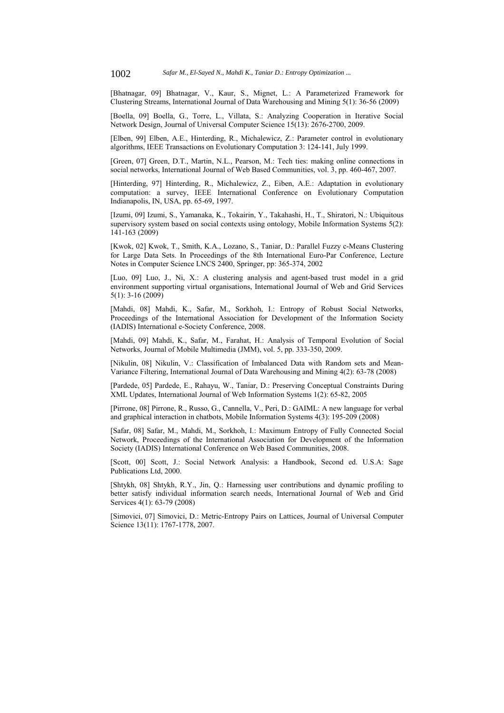[Bhatnagar, 09] Bhatnagar, V., Kaur, S., Mignet, L.: A Parameterized Framework for Clustering Streams, International Journal of Data Warehousing and Mining 5(1): 36-56 (2009)

[Boella, 09] Boella, G., Torre, L., Villata, S.: Analyzing Cooperation in Iterative Social Network Design, Journal of Universal Computer Science 15(13): 2676-2700, 2009.

[Elben, 99] Elben, A.E., Hinterding, R., Michalewicz, Z.: Parameter control in evolutionary algorithms, IEEE Transactions on Evolutionary Computation 3: 124-141, July 1999.

[Green, 07] Green, D.T., Martin, N.L., Pearson, M.: Tech ties: making online connections in social networks, International Journal of Web Based Communities, vol. 3, pp. 460-467, 2007.

[Hinterding, 97] Hinterding, R., Michalewicz, Z., Eiben, A.E.: Adaptation in evolutionary computation: a survey, IEEE International Conference on Evolutionary Computation Indianapolis, IN, USA, pp. 65-69, 1997.

[Izumi, 09] Izumi, S., Yamanaka, K., Tokairin, Y., Takahashi, H., T., Shiratori, N.: Ubiquitous supervisory system based on social contexts using ontology, Mobile Information Systems 5(2): 141-163 (2009)

[Kwok, 02] Kwok, T., Smith, K.A., Lozano, S., Taniar, D.: Parallel Fuzzy c-Means Clustering for Large Data Sets. In Proceedings of the 8th International Euro-Par Conference, Lecture Notes in Computer Science LNCS 2400, Springer, pp: 365-374, 2002

[Luo, 09] Luo, J., Ni, X.: A clustering analysis and agent-based trust model in a grid environment supporting virtual organisations, International Journal of Web and Grid Services  $5(1)$ : 3-16 (2009)

[Mahdi, 08] Mahdi, K., Safar, M., Sorkhoh, I.: Entropy of Robust Social Networks, Proceedings of the International Association for Development of the Information Society (IADIS) International e-Society Conference, 2008.

[Mahdi, 09] Mahdi, K., Safar, M., Farahat, H.: Analysis of Temporal Evolution of Social Networks, Journal of Mobile Multimedia (JMM), vol. 5, pp. 333-350, 2009.

[Nikulin, 08] Nikulin, V.: Classification of Imbalanced Data with Random sets and Mean-Variance Filtering, International Journal of Data Warehousing and Mining 4(2): 63-78 (2008)

[Pardede, 05] Pardede, E., Rahayu, W., Taniar, D.: Preserving Conceptual Constraints During XML Updates, International Journal of Web Information Systems 1(2): 65-82, 2005

[Pirrone, 08] Pirrone, R., Russo, G., Cannella, V., Peri, D.: GAIML: A new language for verbal and graphical interaction in chatbots, Mobile Information Systems 4(3): 195-209 (2008)

[Safar, 08] Safar, M., Mahdi, M., Sorkhoh, I.: Maximum Entropy of Fully Connected Social Network, Proceedings of the International Association for Development of the Information Society (IADIS) International Conference on Web Based Communities, 2008.

[Scott, 00] Scott, J.: Social Network Analysis: a Handbook, Second ed. U.S.A: Sage Publications Ltd, 2000.

[Shtykh, 08] Shtykh, R.Y., Jin, Q.: Harnessing user contributions and dynamic profiling to better satisfy individual information search needs, International Journal of Web and Grid Services 4(1): 63-79 (2008)

[Simovici, 07] Simovici, D.: Metric-Entropy Pairs on Lattices, Journal of Universal Computer Science 13(11): 1767-1778, 2007.